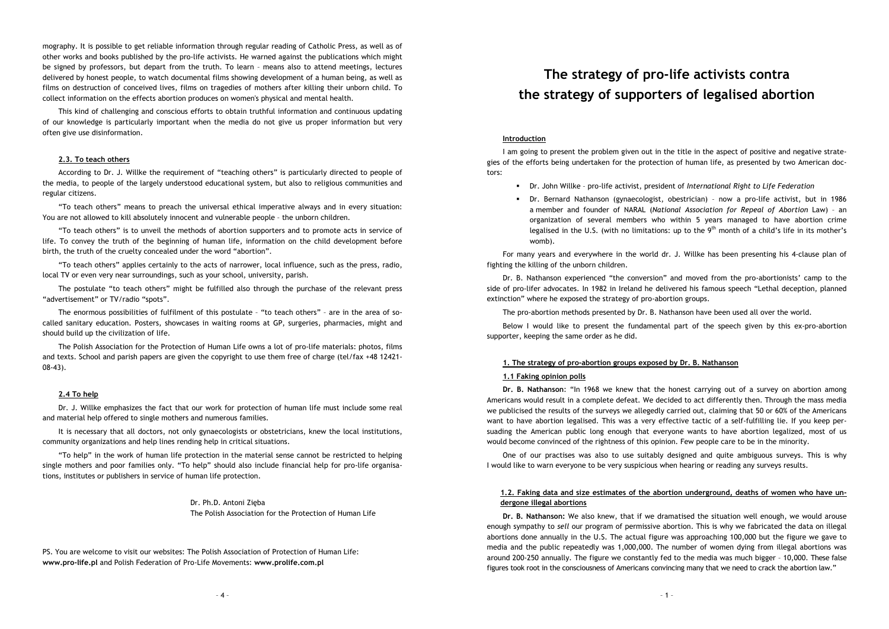- 
- 
- 

- 
- 

– mography. It is possible to get reliable information through regular reading of Catholic Press, as well as of other works and books published by the pro-life activists. He warned against the publications which might be signed by professors, but depart from the truth. To learn – means also to attend meetings, lectures delivered by honest people, to watch documental films showing development of a human being, as well as films on destruction of conceived lives, films on tragedies of mothers after killing their unborn child. To collect information on the effects abortion produces on women's physical and mental health. This kind of challenging and conscious efforts to obtain truthful information and continuous updating of our knowledge is particularly important when the media do not give us proper information but very often give use disinformation. **2.3. To teach others** According to Dr. J. Willke the requirement of "teaching others" is particularly directed to people of the media, to people of the largely understood educational system, but also to religious communities and regular citizens. "To teach others" means to preach the universal ethical imperative always and in every situation: You are not allowed to kill absolutely innocent and vulnerable people – the unborn children. "To teach others" is to unveil the methods of abortion supporters and to promote acts in service of life. To convey the truth of the beginning of human life, information on the child development before birth, the truth of the cruelty concealed under the word "abortion". "To teach others" applies certainly to the acts of narrower, local influence, such as the press, radio, local TV or even very near surroundings, such as your school, university, parish. The postulate "to teach others" might be fulfilled also through the purchase of the relevant press "advertisement" or TV/radio "spots". The enormous possibilities of fulfilment of this postulate – "to teach others" – are in the area of so- called sanitary education. Posters, showcases in waiting rooms at GP, surgeries, pharmacies, might and should build up the civilization of life. The Polish Association for the Protection of Human Life owns a lot of pro-life materials: photos, films and texts. School and parish papers are given the copyright to use them free of charge (tel/fax +48 12421- 08-43). **2.4 To help** Dr. J. Willke emphasizes the fact that our work for protection of human life must include some real and material help offered to single mothers and numerous families. It is necessary that all doctors, not only gynaecologists or obstetricians, knew the local institutions, community organizations and help lines rending help in critical situations. "To help" in the work of human life protection in the material sense cannot be restricted to helping single mothers and poor families only. "To help" should also include financial help for pro-life organisa- tions, institutes or publishers in service of human life protection. Dr. Ph.D. Antoni Zięba The Polish Association for the Protection of Human Life PS. You are welcome to visit our websites: The Polish Association of Protection of Human Life: **www.pro-life.pl** and Polish Federation of Pro-Life Movements: **www.prolife.com.pl** – <sup>1</sup> – **The strategy of pro-life activists contra the strategy of supporters of legalised abortion Introduction** I am going to present the problem given out in the title in the aspect of positive and negative strate- gies of the efforts being undertaken for the protection of human life, as presented by two American doc- tors: Dr. John Willke – pro-life activist, president of *International Right to Life Federation* Dr. Bernard Nathanson (gynaecologist, obestrician) – now a pro-life activist, but in 1986 a member and founder of NARAL (*National Association for Repeal of Abortion* Law) – an organization of several members who within 5 years managed to have abortion crime legalised in the U.S. (with no limitations: up to the 9th month of a child's life in its mother's womb). For many years and everywhere in the world dr. J. Willke has been presenting his 4-clause plan of fighting the killing of the unborn children. Dr. B. Nathanson experienced "the conversion" and moved from the pro-abortionists' camp to the side of pro-lifer advocates. In 1982 in Ireland he delivered his famous speech "Lethal deception, planned extinction" where he exposed the strategy of pro-abortion groups. The pro-abortion methods presented by Dr. B. Nathanson have been used all over the world. Below I would like to present the fundamental part of the speech given by this ex-pro-abortion supporter, keeping the same order as he did. **1. The strategy of pro-abortion groups exposed by Dr. B. Nathanson 1.1 Faking opinion polls Dr. B. Nathanson**: "In 1968 we knew that the honest carrying out of a survey on abortion among Americans would result in a complete defeat. We decided to act differently then. Through the mass media we publicised the results of the surveys we allegedly carried out, claiming that 50 or 60% of the Americans want to have abortion legalised. This was a very effective tactic of a self-fulfilling lie. If you keep per- suading the American public long enough that everyone wants to have abortion legalized, most of us would become convinced of the rightness of this opinion. Few people care to be in the minority. One of our practises was also to use suitably designed and quite ambiguous surveys. This is why I would like to warn everyone to be very suspicious when hearing or reading any surveys results. **1.2. Faking data and size estimates of the abortion underground, deaths of women who have un- dergone illegal abortions Dr. B. Nathanson:** We also knew, that if we dramatised the situation well enough, we would arouse enough sympathy to *sell* our program of permissive abortion. This is why we fabricated the data on illegal abortions done annually in the U.S. The actual figure was approaching 100,000 but the figure we gave to media and the public repeatedly was 1,000,000. The number of women dying from illegal abortions was around 200-250 annually. The figure we constantly fed to the media was much bigger – 10,000. These false figures took root in the consciousness of Americans convincing many that we need to crack the abortion law."